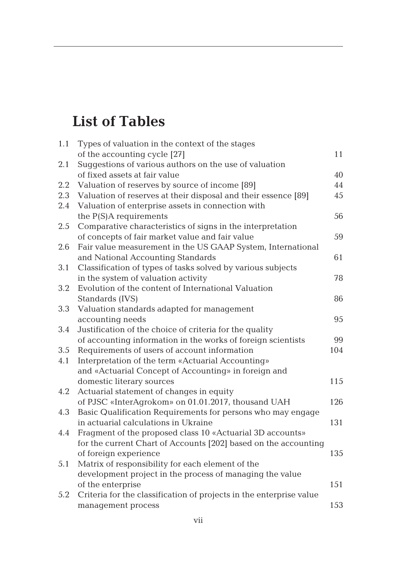## **List of Tables**

| 1.1        | Types of valuation in the context of the stages                     |     |
|------------|---------------------------------------------------------------------|-----|
|            | of the accounting cycle [27]                                        | 11  |
| 2.1        | Suggestions of various authors on the use of valuation              |     |
|            | of fixed assets at fair value                                       | 40  |
| 2.2        | Valuation of reserves by source of income [89]                      | 44  |
| 2.3        | Valuation of reserves at their disposal and their essence [89]      | 45  |
| 2.4        | Valuation of enterprise assets in connection with                   |     |
|            | the $P(S)A$ requirements                                            | 56  |
| 2.5        | Comparative characteristics of signs in the interpretation          |     |
|            | of concepts of fair market value and fair value                     | 59  |
| 2.6<br>3.1 | Fair value measurement in the US GAAP System, International         |     |
|            | and National Accounting Standards                                   | 61  |
|            | Classification of types of tasks solved by various subjects         |     |
|            | in the system of valuation activity                                 | 78  |
| 3.2        | Evolution of the content of International Valuation                 |     |
|            | Standards (IVS)                                                     | 86  |
| 3.3        | Valuation standards adapted for management                          |     |
|            | accounting needs                                                    | 95  |
| 3.4        | Justification of the choice of criteria for the quality             |     |
|            | of accounting information in the works of foreign scientists        | 99  |
| 3.5        | Requirements of users of account information                        | 104 |
| 4.1        | Interpretation of the term «Actuarial Accounting»                   |     |
|            | and «Actuarial Concept of Accounting» in foreign and                |     |
|            | domestic literary sources                                           | 115 |
| 4.2        | Actuarial statement of changes in equity                            |     |
|            | of PJSC «InterAgrokom» on 01.01.2017, thousand UAH                  | 126 |
| 4.3        | Basic Qualification Requirements for persons who may engage         |     |
|            | in actuarial calculations in Ukraine                                | 131 |
| 4.4        | Fragment of the proposed class 10 «Actuarial 3D accounts»           |     |
|            | for the current Chart of Accounts [202] based on the accounting     |     |
|            | of foreign experience                                               | 135 |
| 5.1        | Matrix of responsibility for each element of the                    |     |
|            | development project in the process of managing the value            |     |
|            | of the enterprise                                                   | 151 |
| 5.2        | Criteria for the classification of projects in the enterprise value |     |
|            | management process                                                  | 153 |